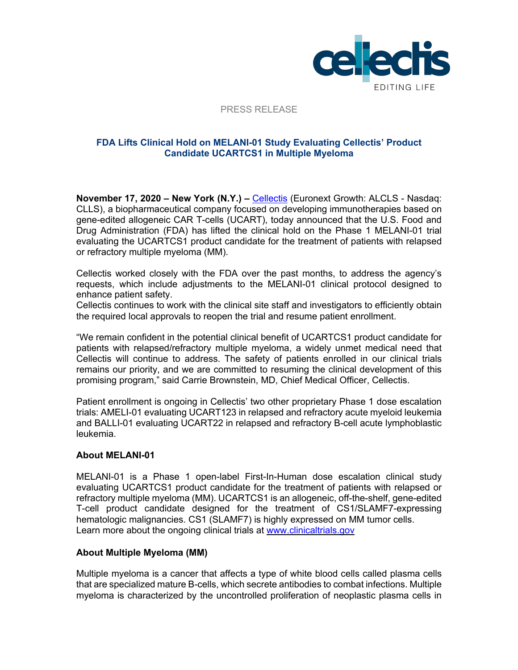

PRESS RELEASE

# **FDA Lifts Clinical Hold on MELANI-01 Study Evaluating Cellectis' Product Candidate UCARTCS1 in Multiple Myeloma**

**November 17, 2020 – New York (N.Y.) –** Cellectis (Euronext Growth: ALCLS - Nasdaq: CLLS), a biopharmaceutical company focused on developing immunotherapies based on gene-edited allogeneic CAR T-cells (UCART), today announced that the U.S. Food and Drug Administration (FDA) has lifted the clinical hold on the Phase 1 MELANI-01 trial evaluating the UCARTCS1 product candidate for the treatment of patients with relapsed or refractory multiple myeloma (MM).

Cellectis worked closely with the FDA over the past months, to address the agency's requests, which include adjustments to the MELANI-01 clinical protocol designed to enhance patient safety.

Cellectis continues to work with the clinical site staff and investigators to efficiently obtain the required local approvals to reopen the trial and resume patient enrollment.

"We remain confident in the potential clinical benefit of UCARTCS1 product candidate for patients with relapsed/refractory multiple myeloma, a widely unmet medical need that Cellectis will continue to address. The safety of patients enrolled in our clinical trials remains our priority, and we are committed to resuming the clinical development of this promising program," said Carrie Brownstein, MD, Chief Medical Officer, Cellectis.

Patient enrollment is ongoing in Cellectis' two other proprietary Phase 1 dose escalation trials: AMELI-01 evaluating UCART123 in relapsed and refractory acute myeloid leukemia and BALLI-01 evaluating UCART22 in relapsed and refractory B-cell acute lymphoblastic leukemia.

## **About MELANI-01**

MELANI-01 is a Phase 1 open-label First-In-Human dose escalation clinical study evaluating UCARTCS1 product candidate for the treatment of patients with relapsed or refractory multiple myeloma (MM). UCARTCS1 is an allogeneic, off-the-shelf, gene-edited T-cell product candidate designed for the treatment of CS1/SLAMF7-expressing hematologic malignancies. CS1 (SLAMF7) is highly expressed on MM tumor cells. Learn more about the ongoing clinical trials at www.clinicaltrials.gov

## **About Multiple Myeloma (MM)**

Multiple myeloma is a cancer that affects a type of white blood cells called plasma cells that are specialized mature B-cells, which secrete antibodies to combat infections. Multiple myeloma is characterized by the uncontrolled proliferation of neoplastic plasma cells in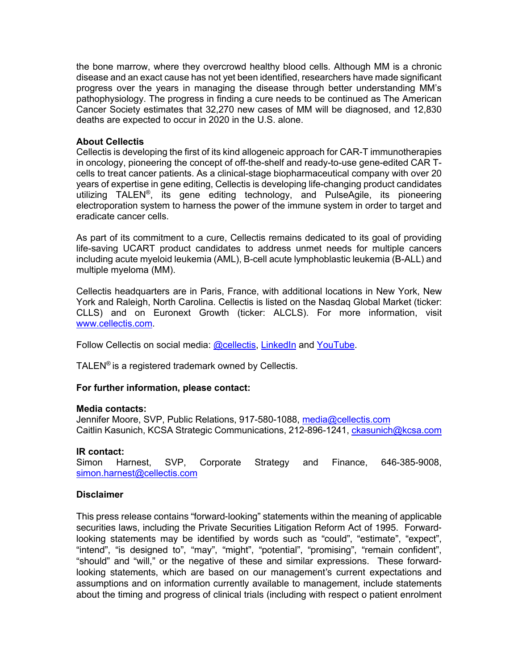the bone marrow, where they overcrowd healthy blood cells. Although MM is a chronic disease and an exact cause has not yet been identified, researchers have made significant progress over the years in managing the disease through better understanding MM's pathophysiology. The progress in finding a cure needs to be continued as The American Cancer Society estimates that 32,270 new cases of MM will be diagnosed, and 12,830 deaths are expected to occur in 2020 in the U.S. alone.

## **About Cellectis**

Cellectis is developing the first of its kind allogeneic approach for CAR-T immunotherapies in oncology, pioneering the concept of off-the-shelf and ready-to-use gene-edited CAR Tcells to treat cancer patients. As a clinical-stage biopharmaceutical company with over 20 years of expertise in gene editing, Cellectis is developing life-changing product candidates utilizing TALEN®, its gene editing technology, and PulseAgile, its pioneering electroporation system to harness the power of the immune system in order to target and eradicate cancer cells.

As part of its commitment to a cure, Cellectis remains dedicated to its goal of providing life-saving UCART product candidates to address unmet needs for multiple cancers including acute myeloid leukemia (AML), B-cell acute lymphoblastic leukemia (B-ALL) and multiple myeloma (MM).

Cellectis headquarters are in Paris, France, with additional locations in New York, New York and Raleigh, North Carolina. Cellectis is listed on the Nasdaq Global Market (ticker: CLLS) and on Euronext Growth (ticker: ALCLS). For more information, visit www.cellectis.com.

Follow Cellectis on social media: @cellectis, LinkedIn and YouTube.

TALEN® is a registered trademark owned by Cellectis.

## **For further information, please contact:**

## **Media contacts:**

Jennifer Moore, SVP, Public Relations, 917-580-1088, media@cellectis.com Caitlin Kasunich, KCSA Strategic Communications, 212-896-1241, ckasunich@kcsa.com

## **IR contact:**

Simon Harnest, SVP, Corporate Strategy and Finance, 646-385-9008, simon.harnest@cellectis.com

## **Disclaimer**

This press release contains "forward-looking" statements within the meaning of applicable securities laws, including the Private Securities Litigation Reform Act of 1995. Forwardlooking statements may be identified by words such as "could", "estimate", "expect", "intend", "is designed to", "may", "might", "potential", "promising", "remain confident", "should" and "will," or the negative of these and similar expressions. These forwardlooking statements, which are based on our management's current expectations and assumptions and on information currently available to management, include statements about the timing and progress of clinical trials (including with respect o patient enrolment